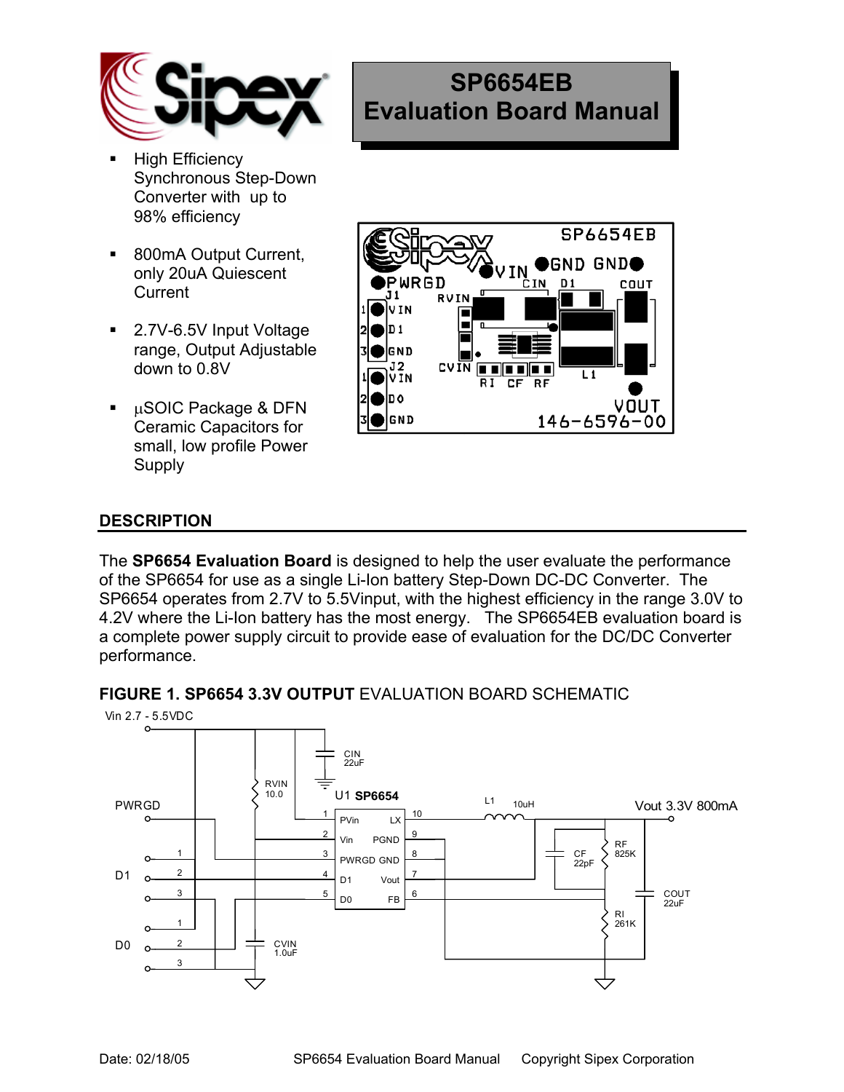

- **High Efficiency** Synchronous Step-Down Converter with up to 98% efficiency
- 800mA Output Current, only 20uA Quiescent **Current**
- 2.7V-6.5V Input Voltage range, Output Adjustable down to 0.8V
- µSOIC Package & DFN Ceramic Capacitors for small, low profile Power Supply



**SP6654EB** 

**Evaluation Board Manual** 

## **DESCRIPTION**

The **SP6654 Evaluation Board** is designed to help the user evaluate the performance of the SP6654 for use as a single Li-Ion battery Step-Down DC-DC Converter. The SP6654 operates from 2.7V to 5.5Vinput, with the highest efficiency in the range 3.0V to 4.2V where the Li-Ion battery has the most energy. The SP6654EB evaluation board is a complete power supply circuit to provide ease of evaluation for the DC/DC Converter performance.



**FIGURE 1. SP6654 3.3V OUTPUT** EVALUATION BOARD SCHEMATIC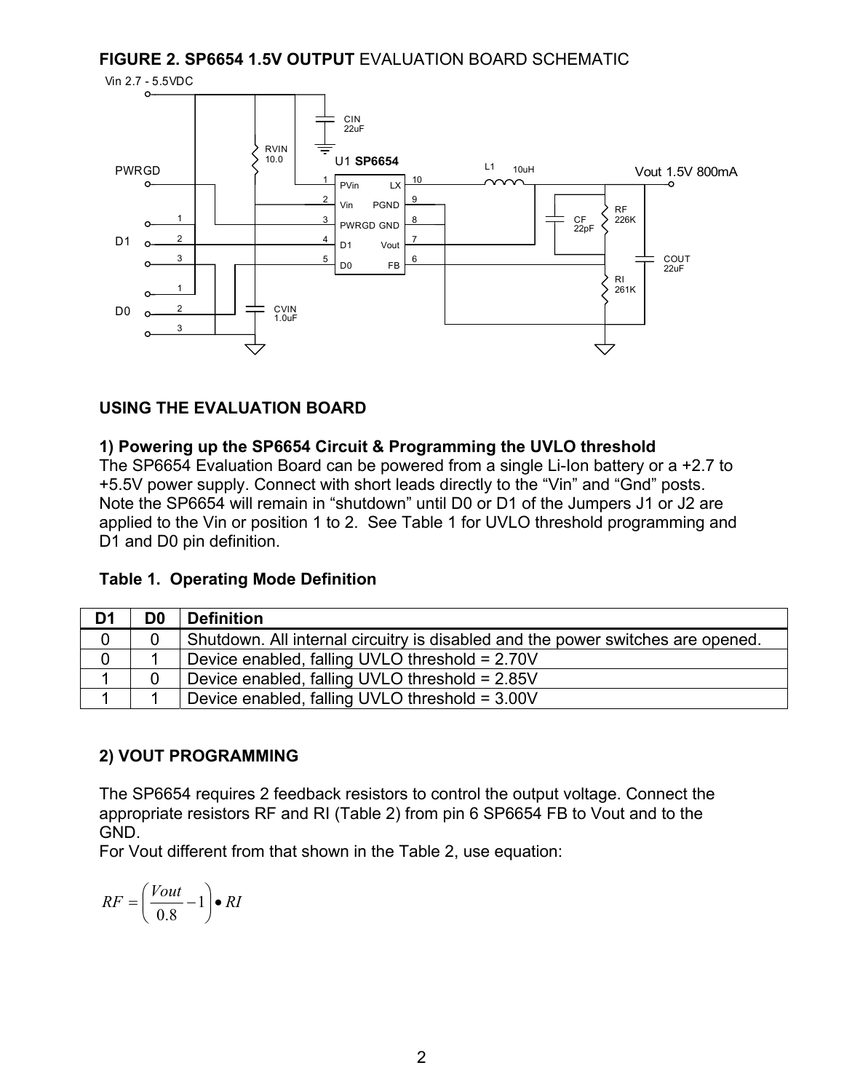#### **FIGURE 2. SP6654 1.5V OUTPUT** EVALUATION BOARD SCHEMATIC



## **USING THE EVALUATION BOARD**

#### **1) Powering up the SP6654 Circuit & Programming the UVLO threshold**

The SP6654 Evaluation Board can be powered from a single Li-Ion battery or a +2.7 to +5.5V power supply. Connect with short leads directly to the "Vin" and "Gnd" posts. Note the SP6654 will remain in "shutdown" until D0 or D1 of the Jumpers J1 or J2 are applied to the Vin or position 1 to 2. See Table 1 for UVLO threshold programming and D1 and D0 pin definition.

#### **Table 1. Operating Mode Definition**

| D <sub>1</sub> | D <sub>0</sub> | <b>Definition</b>                                                               |
|----------------|----------------|---------------------------------------------------------------------------------|
|                |                | Shutdown. All internal circuitry is disabled and the power switches are opened. |
|                |                | Device enabled, falling UVLO threshold = 2.70V                                  |
|                |                | Device enabled, falling UVLO threshold = 2.85V                                  |
|                |                | Device enabled, falling UVLO threshold = 3.00V                                  |

#### **2) VOUT PROGRAMMING**

The SP6654 requires 2 feedback resistors to control the output voltage. Connect the appropriate resistors RF and RI (Table 2) from pin 6 SP6654 FB to Vout and to the GND.

For Vout different from that shown in the Table 2, use equation:

$$
RF = \left(\frac{Vout}{0.8} - 1\right) \bullet RI
$$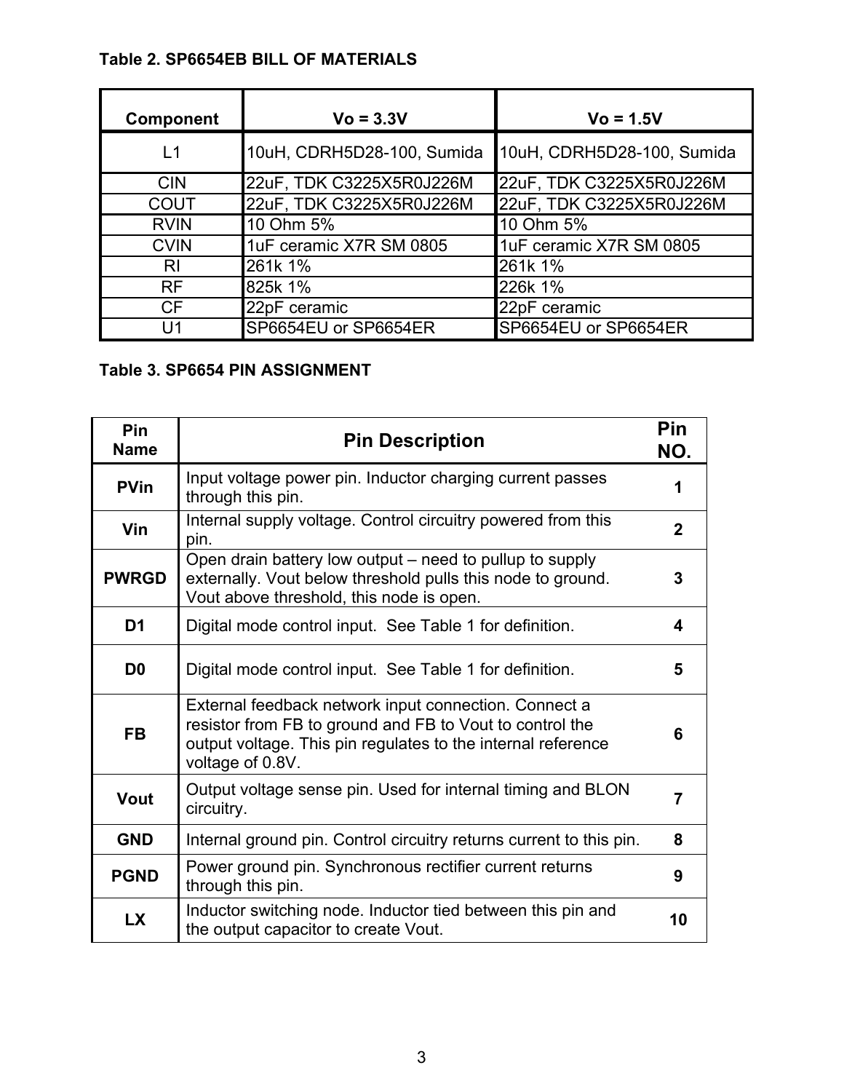# **Table 2. SP6654EB BILL OF MATERIALS**

| <b>Component</b> | $Vo = 3.3V$                | $Vo = 1.5V$                |
|------------------|----------------------------|----------------------------|
| L1               | 10uH, CDRH5D28-100, Sumida | 10uH, CDRH5D28-100, Sumida |
| <b>CIN</b>       | 22uF, TDK C3225X5R0J226M   | 22uF, TDK C3225X5R0J226M   |
| <b>COUT</b>      | 22uF, TDK C3225X5R0J226M   | 22uF, TDK C3225X5R0J226M   |
| <b>RVIN</b>      | 10 Ohm 5%                  | 10 Ohm 5%                  |
| <b>CVIN</b>      | 1uF ceramic X7R SM 0805    | 1uF ceramic X7R SM 0805    |
| R <sub>l</sub>   | 261k 1%                    | 261k 1%                    |
| <b>RF</b>        | 825k 1%                    | 226k 1%                    |
| CF               | 22pF ceramic               | 22pF ceramic               |
| U1               | SP6654EU or SP6654ER       | SP6654EU or SP6654ER       |

# **Table 3. SP6654 PIN ASSIGNMENT**

| Pin<br><b>Name</b> | <b>Pin Description</b>                                                                                                                                                                                |                |
|--------------------|-------------------------------------------------------------------------------------------------------------------------------------------------------------------------------------------------------|----------------|
| <b>PVin</b>        | Input voltage power pin. Inductor charging current passes<br>through this pin.                                                                                                                        | 1              |
| Vin                | Internal supply voltage. Control circuitry powered from this<br>pin.                                                                                                                                  | $\overline{2}$ |
| <b>PWRGD</b>       | Open drain battery low output – need to pullup to supply<br>externally. Vout below threshold pulls this node to ground.<br>Vout above threshold, this node is open.                                   | 3              |
| D <sub>1</sub>     | Digital mode control input. See Table 1 for definition.                                                                                                                                               | 4              |
| D <sub>0</sub>     | Digital mode control input. See Table 1 for definition.                                                                                                                                               | 5              |
| <b>FB</b>          | External feedback network input connection. Connect a<br>resistor from FB to ground and FB to Vout to control the<br>output voltage. This pin regulates to the internal reference<br>voltage of 0.8V. | 6              |
| <b>Vout</b>        | Output voltage sense pin. Used for internal timing and BLON<br>circuitry.                                                                                                                             | 7              |
| <b>GND</b>         | Internal ground pin. Control circuitry returns current to this pin.                                                                                                                                   | 8              |
| <b>PGND</b>        | Power ground pin. Synchronous rectifier current returns<br>through this pin.                                                                                                                          | 9              |
| <b>LX</b>          | Inductor switching node. Inductor tied between this pin and<br>the output capacitor to create Vout.                                                                                                   | 10             |